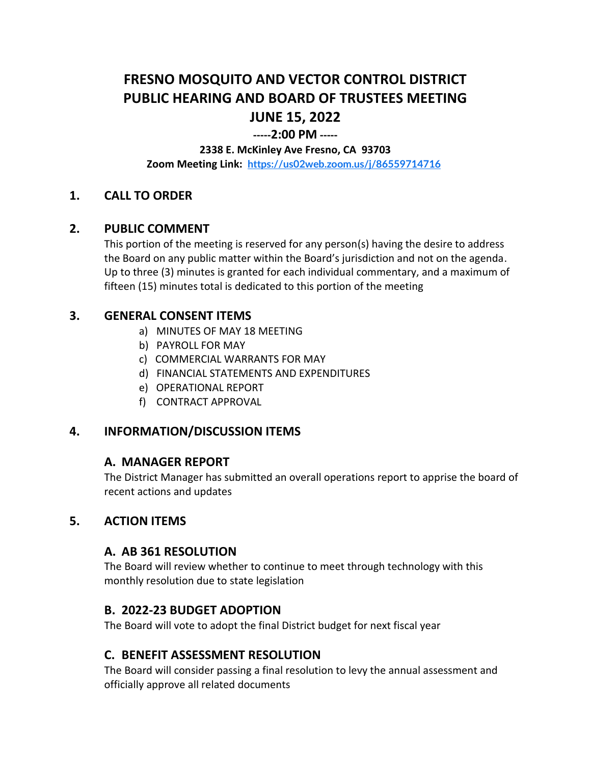# **FRESNO MOSQUITO AND VECTOR CONTROL DISTRICT PUBLIC HEARING AND BOARD OF TRUSTEES MEETING JUNE 15, 2022**

## **-----2:00 PM -----**

#### **2338 E. McKinley Ave Fresno, CA 93703**

**Zoom Meeting Link: <https://us02web.zoom.us/j/86559714716>**

## **1. CALL TO ORDER**

#### **2. PUBLIC COMMENT**

This portion of the meeting is reserved for any person(s) having the desire to address the Board on any public matter within the Board's jurisdiction and not on the agenda. Up to three (3) minutes is granted for each individual commentary, and a maximum of fifteen (15) minutes total is dedicated to this portion of the meeting

## **3. GENERAL CONSENT ITEMS**

- a) MINUTES OF MAY 18 MEETING
- b) PAYROLL FOR MAY
- c) COMMERCIAL WARRANTS FOR MAY
- d) FINANCIAL STATEMENTS AND EXPENDITURES
- e) OPERATIONAL REPORT
- f) CONTRACT APPROVAL

## **4. INFORMATION/DISCUSSION ITEMS**

#### **A. MANAGER REPORT**

The District Manager has submitted an overall operations report to apprise the board of recent actions and updates

## **5. ACTION ITEMS**

#### **A. AB 361 RESOLUTION**

The Board will review whether to continue to meet through technology with this monthly resolution due to state legislation

## **B. 2022-23 BUDGET ADOPTION**

The Board will vote to adopt the final District budget for next fiscal year

## **C. BENEFIT ASSESSMENT RESOLUTION**

The Board will consider passing a final resolution to levy the annual assessment and officially approve all related documents